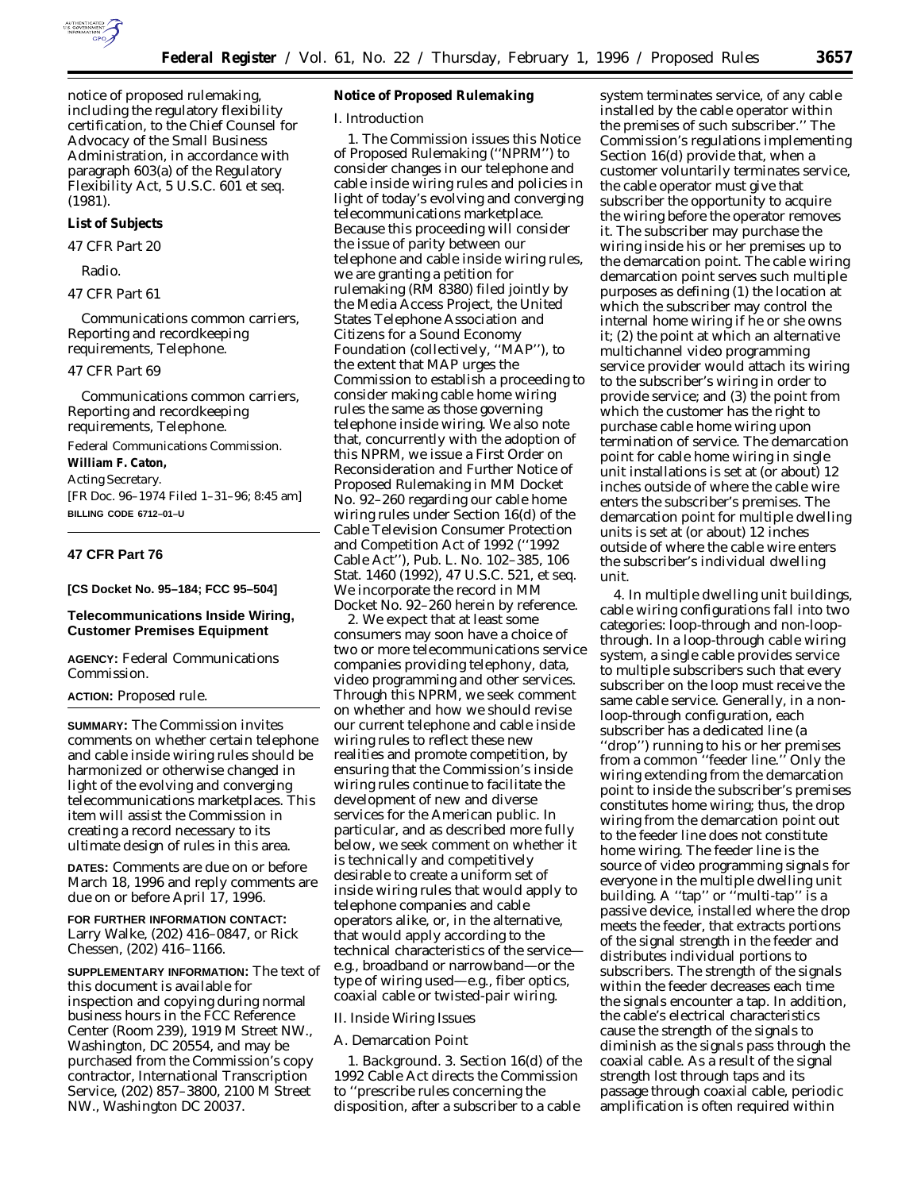

notice of proposed rulemaking, including the regulatory flexibility certification, to the Chief Counsel for Advocacy of the Small Business Administration, in accordance with paragraph 603(a) of the Regulatory Flexibility Act, 5 U.S.C. 601 *et seq.* (1981).

#### **List of Subjects**

*47 CFR Part 20*

Radio.

### *47 CFR Part 61*

Communications common carriers, Reporting and recordkeeping requirements, Telephone.

#### *47 CFR Part 69*

Communications common carriers, Reporting and recordkeeping requirements, Telephone.

Federal Communications Commission. **William F. Caton,**

*Acting Secretary.*

[FR Doc. 96–1974 Filed 1–31–96; 8:45 am] **BILLING CODE 6712–01–U**

### **47 CFR Part 76**

**[CS Docket No. 95–184; FCC 95–504]**

#### **Telecommunications Inside Wiring, Customer Premises Equipment**

**AGENCY:** Federal Communications Commission.

#### **ACTION:** Proposed rule.

**SUMMARY:** The Commission invites comments on whether certain telephone and cable inside wiring rules should be harmonized or otherwise changed in light of the evolving and converging telecommunications marketplaces. This item will assist the Commission in creating a record necessary to its ultimate design of rules in this area.

**DATES:** Comments are due on or before March 18, 1996 and reply comments are due on or before April 17, 1996.

**FOR FURTHER INFORMATION CONTACT:** Larry Walke, (202) 416–0847, or Rick Chessen, (202) 416–1166.

**SUPPLEMENTARY INFORMATION:** The text of this document is available for inspection and copying during normal business hours in the FCC Reference Center (Room 239), 1919 M Street NW., Washington, DC 20554, and may be purchased from the Commission's copy contractor, International Transcription Service, (202) 857–3800, 2100 M Street NW., Washington DC 20037.

# **Notice of Proposed Rulemaking**

#### *I. Introduction*

1. The Commission issues this *Notice of Proposed Rulemaking* (''*NPRM*'') to consider changes in our telephone and cable inside wiring rules and policies in light of today's evolving and converging telecommunications marketplace. Because this proceeding will consider the issue of parity between our telephone and cable inside wiring rules, we are granting a petition for rulemaking (RM 8380) filed jointly by the Media Access Project, the United States Telephone Association and Citizens for a Sound Economy Foundation (collectively, ''MAP''), to the extent that MAP urges the Commission to establish a proceeding to consider making cable home wiring rules the same as those governing telephone inside wiring. We also note that, concurrently with the adoption of this *NPRM,* we issue a *First Order on Reconsideration and Further Notice of Proposed Rulemaking* in MM Docket No. 92–260 regarding our cable home wiring rules under Section 16(d) of the Cable Television Consumer Protection and Competition Act of 1992 (''1992 Cable Act''), Pub. L. No. 102–385, 106 Stat. 1460 (1992), 47 U.S.C. 521, *et seq.* We incorporate the record in MM Docket No. 92–260 herein by reference.

2. We expect that at least some consumers may soon have a choice of two or more telecommunications service companies providing telephony, data, video programming and other services. Through this *NPRM,* we seek comment on whether and how we should revise our current telephone and cable inside wiring rules to reflect these new realities and promote competition, by ensuring that the Commission's inside wiring rules continue to facilitate the development of new and diverse services for the American public. In particular, and as described more fully below, we seek comment on whether it is technically and competitively desirable to create a uniform set of inside wiring rules that would apply to telephone companies and cable operators alike, or, in the alternative, that would apply according to the technical characteristics of the service e.g., broadband or narrowband—or the type of wiring used—e.g., fiber optics, coaxial cable or twisted-pair wiring.

### *II. Inside Wiring Issues*

#### A. Demarcation Point

1. *Background.* 3. Section 16(d) of the 1992 Cable Act directs the Commission to ''prescribe rules concerning the disposition, after a subscriber to a cable

system terminates service, of any cable installed by the cable operator within the premises of such subscriber.'' The Commission's regulations implementing Section 16(d) provide that, when a customer voluntarily terminates service, the cable operator must give that subscriber the opportunity to acquire the wiring before the operator removes it. The subscriber may purchase the wiring inside his or her premises up to the demarcation point. The cable wiring demarcation point serves such multiple purposes as defining (1) the location at which the subscriber may control the internal home wiring if he or she owns it; (2) the point at which an alternative multichannel video programming service provider would attach its wiring to the subscriber's wiring in order to provide service; and (3) the point from which the customer has the right to purchase cable home wiring upon termination of service. The demarcation point for cable home wiring in single unit installations is set at (or about) 12 inches outside of where the cable wire enters the subscriber's premises. The demarcation point for multiple dwelling units is set at (or about) 12 inches outside of where the cable wire enters the subscriber's individual dwelling unit.

4. In multiple dwelling unit buildings, cable wiring configurations fall into two categories: loop-through and non-loopthrough. In a loop-through cable wiring system, a single cable provides service to multiple subscribers such that every subscriber on the loop must receive the same cable service. Generally, in a nonloop-through configuration, each subscriber has a dedicated line (a ''drop'') running to his or her premises from a common ''feeder line.'' Only the wiring extending from the demarcation point to inside the subscriber's premises constitutes home wiring; thus, the drop wiring from the demarcation point out to the feeder line does not constitute home wiring. The feeder line is the source of video programming signals for everyone in the multiple dwelling unit building. A ''tap'' or ''multi-tap'' is a passive device, installed where the drop meets the feeder, that extracts portions of the signal strength in the feeder and distributes individual portions to subscribers. The strength of the signals within the feeder decreases each time the signals encounter a tap. In addition, the cable's electrical characteristics cause the strength of the signals to diminish as the signals pass through the coaxial cable. As a result of the signal strength lost through taps and its passage through coaxial cable, periodic amplification is often required within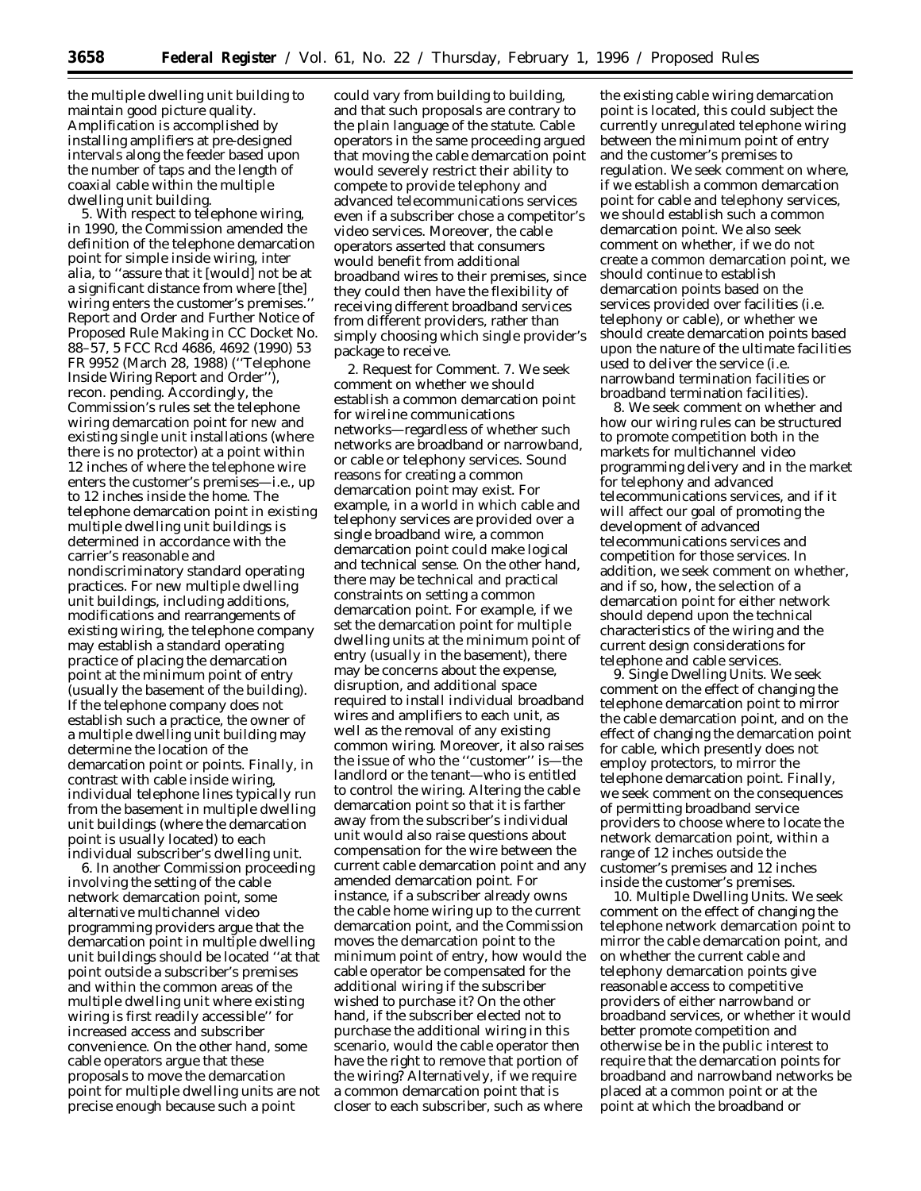the multiple dwelling unit building to maintain good picture quality. Amplification is accomplished by installing amplifiers at pre-designed intervals along the feeder based upon the number of taps and the length of coaxial cable within the multiple dwelling unit building.

5. With respect to telephone wiring, in 1990, the Commission amended the definition of the telephone demarcation point for simple inside wiring, *inter alia,* to ''assure that it [would] not be at a significant distance from where [the] wiring enters the customer's premises.'' *Report and Order and Further Notice of Proposed Rule Making* in CC Docket No. 88–57, 5 FCC Rcd 4686, 4692 (1990) 53 FR 9952 (March 28, 1988) (''*Telephone Inside Wiring Report and Order*''), *recon. pending.* Accordingly, the Commission's rules set the telephone wiring demarcation point for new and existing single unit installations (where there is no protector) at a point within 12 inches of where the telephone wire enters the customer's premises—i.e., up to 12 inches inside the home. The telephone demarcation point in existing multiple dwelling unit buildings is determined in accordance with the carrier's reasonable and nondiscriminatory standard operating practices. For new multiple dwelling unit buildings, including additions, modifications and rearrangements of existing wiring, the telephone company may establish a standard operating practice of placing the demarcation point at the minimum point of entry (usually the basement of the building). If the telephone company does not establish such a practice, the owner of a multiple dwelling unit building may determine the location of the demarcation point or points. Finally, in contrast with cable inside wiring, individual telephone lines typically run from the basement in multiple dwelling unit buildings (where the demarcation point is usually located) to each individual subscriber's dwelling unit.

6. In another Commission proceeding involving the setting of the cable network demarcation point, some alternative multichannel video programming providers argue that the demarcation point in multiple dwelling unit buildings should be located ''at that point outside a subscriber's premises and within the common areas of the multiple dwelling unit where existing wiring is first readily accessible'' for increased access and subscriber convenience. On the other hand, some cable operators argue that these proposals to move the demarcation point for multiple dwelling units are not precise enough because such a point

could vary from building to building, and that such proposals are contrary to the plain language of the statute. Cable operators in the same proceeding argued that moving the cable demarcation point would severely restrict their ability to compete to provide telephony and advanced telecommunications services even if a subscriber chose a competitor's video services. Moreover, the cable operators asserted that consumers would benefit from additional broadband wires to their premises, since they could then have the flexibility of receiving different broadband services from different providers, rather than simply choosing which single provider's package to receive.

2. *Request for Comment.* 7. We seek comment on whether we should establish a common demarcation point for wireline communications networks—regardless of whether such networks are broadband or narrowband, or cable or telephony services. Sound reasons for creating a common demarcation point may exist. For example, in a world in which cable and telephony services are provided over a single broadband wire, a common demarcation point could make logical and technical sense. On the other hand, there may be technical and practical constraints on setting a common demarcation point. For example, if we set the demarcation point for multiple dwelling units at the minimum point of entry (usually in the basement), there may be concerns about the expense, disruption, and additional space required to install individual broadband wires and amplifiers to each unit, as well as the removal of any existing common wiring. Moreover, it also raises the issue of who the ''customer'' is—the landlord or the tenant—who is entitled to control the wiring. Altering the cable demarcation point so that it is farther away from the subscriber's individual unit would also raise questions about compensation for the wire between the current cable demarcation point and any amended demarcation point. For instance, if a subscriber already owns the cable home wiring up to the current demarcation point, and the Commission moves the demarcation point to the minimum point of entry, how would the cable operator be compensated for the additional wiring if the subscriber wished to purchase it? On the other hand, if the subscriber elected not to purchase the additional wiring in this scenario, would the cable operator then have the right to remove that portion of the wiring? Alternatively, if we require a common demarcation point that is closer to each subscriber, such as where

the existing cable wiring demarcation point is located, this could subject the currently unregulated telephone wiring between the minimum point of entry and the customer's premises to regulation. We seek comment on where, if we establish a common demarcation point for cable and telephony services, we should establish such a common demarcation point. We also seek comment on whether, if we do not create a common demarcation point, we should continue to establish demarcation points based on the services provided over facilities (i.e. telephony or cable), or whether we should create demarcation points based upon the nature of the ultimate facilities used to deliver the service (i.e. narrowband termination facilities or broadband termination facilities).

8. We seek comment on whether and how our wiring rules can be structured to promote competition both in the markets for multichannel video programming delivery and in the market for telephony and advanced telecommunications services, and if it will affect our goal of promoting the development of advanced telecommunications services and competition for those services. In addition, we seek comment on whether, and if so, how, the selection of a demarcation point for either network should depend upon the technical characteristics of the wiring and the current design considerations for telephone and cable services.

9. *Single Dwelling Units.* We seek comment on the effect of changing the telephone demarcation point to mirror the cable demarcation point, and on the effect of changing the demarcation point for cable, which presently does not employ protectors, to mirror the telephone demarcation point. Finally, we seek comment on the consequences of permitting broadband service providers to choose where to locate the network demarcation point, within a range of 12 inches outside the customer's premises and 12 inches inside the customer's premises.

10. *Multiple Dwelling Units.* We seek comment on the effect of changing the telephone network demarcation point to mirror the cable demarcation point, and on whether the current cable and telephony demarcation points give reasonable access to competitive providers of either narrowband or broadband services, or whether it would better promote competition and otherwise be in the public interest to require that the demarcation points for broadband and narrowband networks be placed at a common point or at the point at which the broadband or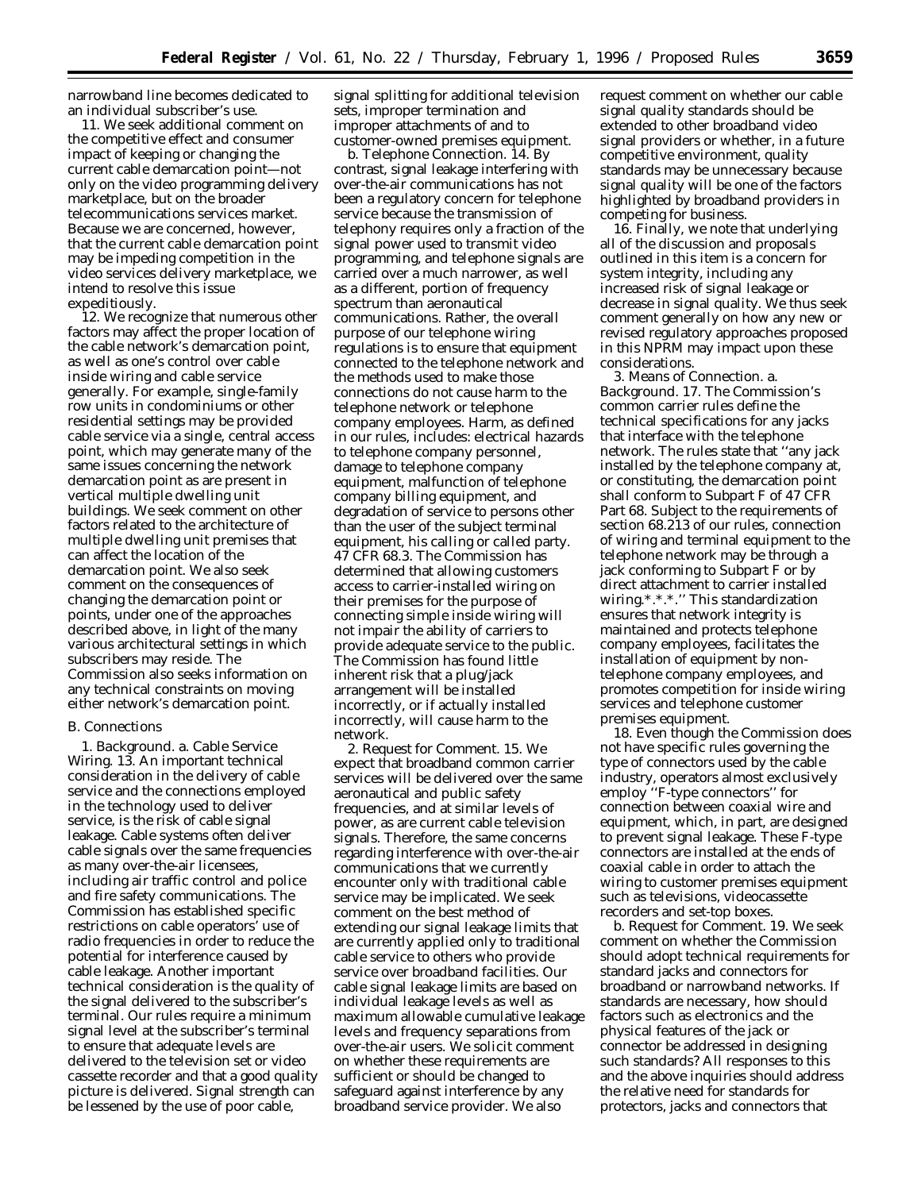narrowband line becomes dedicated to an individual subscriber's use.

11. We seek additional comment on the competitive effect and consumer impact of keeping or changing the current cable demarcation point—not only on the video programming delivery marketplace, but on the broader telecommunications services market. Because we are concerned, however, that the current cable demarcation point may be impeding competition in the video services delivery marketplace, we intend to resolve this issue expeditiously.

12. We recognize that numerous other factors may affect the proper location of the cable network's demarcation point, as well as one's control over cable inside wiring and cable service generally. For example, single-family row units in condominiums or other residential settings may be provided cable service via a single, central access point, which may generate many of the same issues concerning the network demarcation point as are present in vertical multiple dwelling unit buildings. We seek comment on other factors related to the architecture of multiple dwelling unit premises that can affect the location of the demarcation point. We also seek comment on the consequences of changing the demarcation point or points, under one of the approaches described above, in light of the many various architectural settings in which subscribers may reside. The Commission also seeks information on any technical constraints on moving either network's demarcation point.

#### B. Connections

1. *Background.* a. *Cable Service Wiring.* 13. An important technical consideration in the delivery of cable service and the connections employed in the technology used to deliver service, is the risk of cable signal leakage. Cable systems often deliver cable signals over the same frequencies as many over-the-air licensees, including air traffic control and police and fire safety communications. The Commission has established specific restrictions on cable operators' use of radio frequencies in order to reduce the potential for interference caused by cable leakage. Another important technical consideration is the quality of the signal delivered to the subscriber's terminal. Our rules require a minimum signal level at the subscriber's terminal to ensure that adequate levels are delivered to the television set or video cassette recorder and that a good quality picture is delivered. Signal strength can be lessened by the use of poor cable,

signal splitting for additional television sets, improper termination and improper attachments of and to customer-owned premises equipment.

b. *Telephone Connection.* 14. By contrast, signal leakage interfering with over-the-air communications has not been a regulatory concern for telephone service because the transmission of telephony requires only a fraction of the signal power used to transmit video programming, and telephone signals are carried over a much narrower, as well as a different, portion of frequency spectrum than aeronautical communications. Rather, the overall purpose of our telephone wiring regulations is to ensure that equipment connected to the telephone network and the methods used to make those connections do not cause harm to the telephone network or telephone company employees. Harm, as defined in our rules, includes: electrical hazards to telephone company personnel, damage to telephone company equipment, malfunction of telephone company billing equipment, and degradation of service to persons other than the user of the subject terminal equipment, his calling or called party. 47 CFR 68.3. The Commission has determined that allowing customers access to carrier-installed wiring on their premises for the purpose of connecting simple inside wiring will not impair the ability of carriers to provide adequate service to the public. The Commission has found little inherent risk that a plug/jack arrangement will be installed incorrectly, or if actually installed incorrectly, will cause harm to the network.

2. *Request for Comment.* 15. We expect that broadband common carrier services will be delivered over the same aeronautical and public safety frequencies, and at similar levels of power, as are current cable television signals. Therefore, the same concerns regarding interference with over-the-air communications that we currently encounter only with traditional cable service may be implicated. We seek comment on the best method of extending our signal leakage limits that are currently applied only to traditional cable service to others who provide service over broadband facilities. Our cable signal leakage limits are based on individual leakage levels as well as maximum allowable cumulative leakage levels and frequency separations from over-the-air users. We solicit comment on whether these requirements are sufficient or should be changed to safeguard against interference by any broadband service provider. We also

request comment on whether our cable signal quality standards should be extended to other broadband video signal providers or whether, in a future competitive environment, quality standards may be unnecessary because signal quality will be one of the factors highlighted by broadband providers in competing for business.

16. Finally, we note that underlying all of the discussion and proposals outlined in this item is a concern for system integrity, including any increased risk of signal leakage or decrease in signal quality. We thus seek comment generally on how any new or revised regulatory approaches proposed in this *NPRM* may impact upon these considerations.

3. *Means of Connection.* a. *Background.* 17. The Commission's common carrier rules define the technical specifications for any jacks that interface with the telephone network. The rules state that ''any jack installed by the telephone company at, or constituting, the demarcation point shall conform to Subpart F of 47 CFR Part 68. Subject to the requirements of section 68.213 of our rules, connection of wiring and terminal equipment to the telephone network may be through a jack conforming to Subpart F or by direct attachment to carrier installed wiring.\*.\*.\*.'' This standardization ensures that network integrity is maintained and protects telephone company employees, facilitates the installation of equipment by nontelephone company employees, and promotes competition for inside wiring services and telephone customer premises equipment.

18. Even though the Commission does not have specific rules governing the type of connectors used by the cable industry, operators almost exclusively employ ''F-type connectors'' for connection between coaxial wire and equipment, which, in part, are designed to prevent signal leakage. These F-type connectors are installed at the ends of coaxial cable in order to attach the wiring to customer premises equipment such as televisions, videocassette recorders and set-top boxes.

b. *Request for Comment.* 19. We seek comment on whether the Commission should adopt technical requirements for standard jacks and connectors for broadband or narrowband networks. If standards are necessary, how should factors such as electronics and the physical features of the jack or connector be addressed in designing such standards? All responses to this and the above inquiries should address the relative need for standards for protectors, jacks and connectors that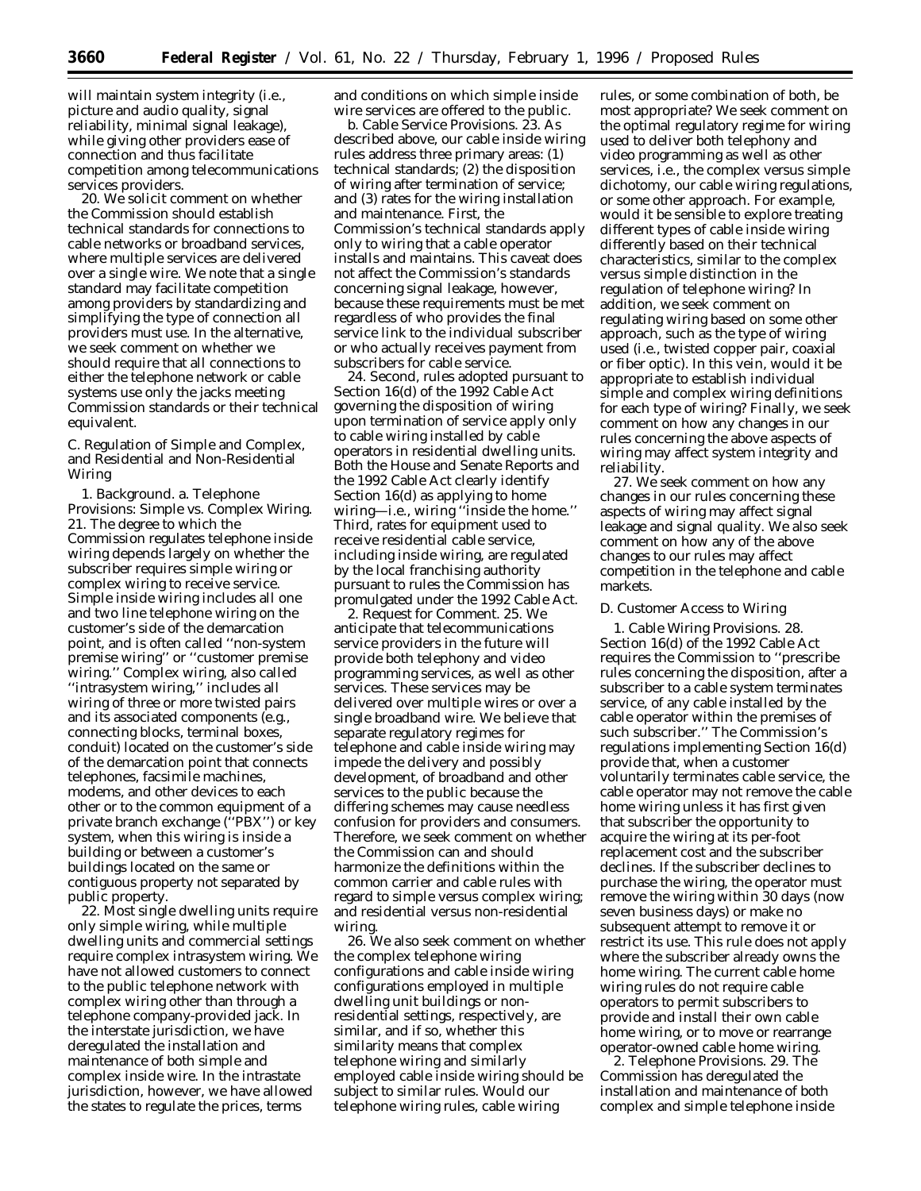will maintain system integrity (i.e., picture and audio quality, signal reliability, minimal signal leakage), while giving other providers ease of connection and thus facilitate competition among telecommunications services providers.

20. We solicit comment on whether the Commission should establish technical standards for connections to cable networks or broadband services, where multiple services are delivered over a single wire. We note that a single standard may facilitate competition among providers by standardizing and simplifying the type of connection all providers must use. In the alternative, we seek comment on whether we should require that all connections to either the telephone network or cable systems use only the jacks meeting Commission standards or their technical equivalent.

C. Regulation of Simple and Complex, and Residential and Non-Residential Wiring

1. *Background.* a. *Telephone Provisions: Simple vs. Complex Wiring.* 21. The degree to which the Commission regulates telephone inside wiring depends largely on whether the subscriber requires simple wiring or complex wiring to receive service. Simple inside wiring includes all one and two line telephone wiring on the customer's side of the demarcation point, and is often called ''non-system premise wiring'' or ''customer premise wiring.'' Complex wiring, also called ''intrasystem wiring,'' includes all wiring of three or more twisted pairs and its associated components (e.g., connecting blocks, terminal boxes, conduit) located on the customer's side of the demarcation point that connects telephones, facsimile machines, modems, and other devices to each other or to the common equipment of a private branch exchange (''PBX'') or key system, when this wiring is inside a building or between a customer's buildings located on the same or contiguous property not separated by public property.

22. Most single dwelling units require only simple wiring, while multiple dwelling units and commercial settings require complex intrasystem wiring. We have not allowed customers to connect to the public telephone network with complex wiring other than through a telephone company-provided jack. In the interstate jurisdiction, we have deregulated the installation and maintenance of both simple and complex inside wire. In the intrastate jurisdiction, however, we have allowed the states to regulate the prices, terms

and conditions on which simple inside wire services are offered to the public.

b. *Cable Service Provisions.* 23. As described above, our cable inside wiring rules address three primary areas: (1) technical standards; (2) the disposition of wiring after termination of service; and (3) rates for the wiring installation and maintenance. First, the Commission's technical standards apply only to wiring that a cable operator installs and maintains. This caveat does not affect the Commission's standards concerning signal leakage, however, because these requirements must be met regardless of who provides the final service link to the individual subscriber or who actually receives payment from subscribers for cable service.

24. Second, rules adopted pursuant to Section 16(d) of the 1992 Cable Act governing the disposition of wiring upon termination of service apply only to cable wiring installed by cable operators in residential dwelling units. Both the House and Senate Reports and the 1992 Cable Act clearly identify Section 16(d) as applying to home wiring—i.e., wiring ''inside the home.'' Third, rates for equipment used to receive residential cable service, including inside wiring, are regulated by the local franchising authority pursuant to rules the Commission has promulgated under the 1992 Cable Act.

2. *Request for Comment.* 25. We anticipate that telecommunications service providers in the future will provide both telephony and video programming services, as well as other services. These services may be delivered over multiple wires or over a single broadband wire. We believe that separate regulatory regimes for telephone and cable inside wiring may impede the delivery and possibly development, of broadband and other services to the public because the differing schemes may cause needless confusion for providers and consumers. Therefore, we seek comment on whether the Commission can and should harmonize the definitions within the common carrier and cable rules with regard to simple versus complex wiring; and residential versus non-residential wiring

26. We also seek comment on whether the complex telephone wiring configurations and cable inside wiring configurations employed in multiple dwelling unit buildings or nonresidential settings, respectively, are similar, and if so, whether this similarity means that complex telephone wiring and similarly employed cable inside wiring should be subject to similar rules. Would our telephone wiring rules, cable wiring

rules, or some combination of both, be most appropriate? We seek comment on the optimal regulatory regime for wiring used to deliver both telephony and video programming as well as other services, i.e., the complex versus simple dichotomy, our cable wiring regulations, or some other approach. For example, would it be sensible to explore treating different types of cable inside wiring differently based on their technical characteristics, similar to the complex versus simple distinction in the regulation of telephone wiring? In addition, we seek comment on regulating wiring based on some other approach, such as the type of wiring used (i.e., twisted copper pair, coaxial or fiber optic). In this vein, would it be appropriate to establish individual simple and complex wiring definitions for each type of wiring? Finally, we seek comment on how any changes in our rules concerning the above aspects of wiring may affect system integrity and reliability.

27. We seek comment on how any changes in our rules concerning these aspects of wiring may affect signal leakage and signal quality. We also seek comment on how any of the above changes to our rules may affect competition in the telephone and cable markets.

### D. Customer Access to Wiring

1. *Cable Wiring Provisions.* 28. Section 16(d) of the 1992 Cable Act requires the Commission to ''prescribe rules concerning the disposition, after a subscriber to a cable system terminates service, of any cable installed by the cable operator within the premises of such subscriber.'' The Commission's regulations implementing Section 16(d) provide that, when a customer voluntarily terminates cable service, the cable operator may not remove the cable home wiring unless it has first given that subscriber the opportunity to acquire the wiring at its per-foot replacement cost and the subscriber declines. If the subscriber declines to purchase the wiring, the operator must remove the wiring within 30 days (now seven business days) or make no subsequent attempt to remove it or restrict its use. This rule does not apply where the subscriber already owns the home wiring. The current cable home wiring rules do not require cable operators to permit subscribers to provide and install their own cable home wiring, or to move or rearrange operator-owned cable home wiring.

2. *Telephone Provisions.* 29. The Commission has deregulated the installation and maintenance of both complex and simple telephone inside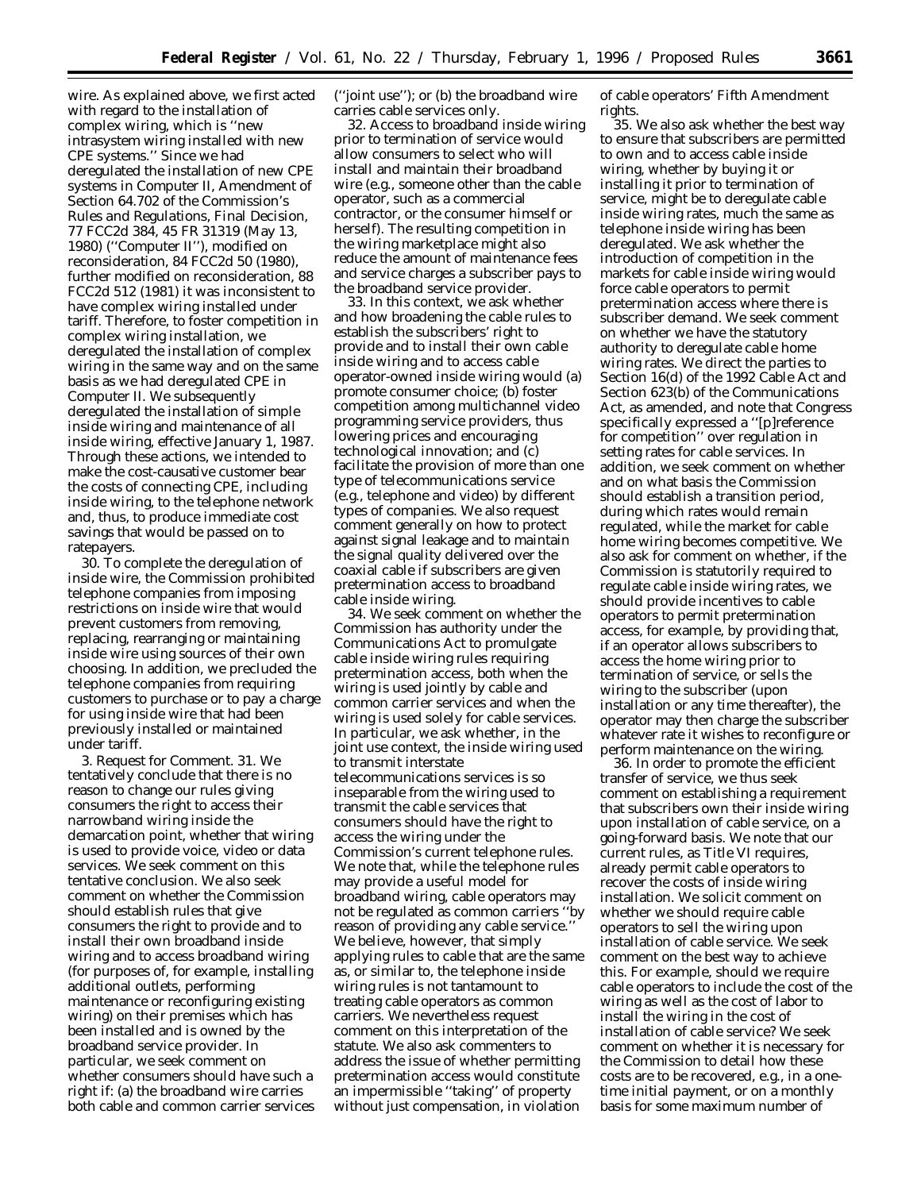wire. As explained above, we first acted with regard to the installation of complex wiring, which is ''new intrasystem wiring installed with new CPE systems.'' Since we had deregulated the installation of new CPE systems in *Computer II, Amendment of Section 64.702 of the Commission's Rules and Regulations,* Final Decision, 77 FCC2d 384, 45 FR 31319 (May 13, 1980) (''*Computer II*''), *modified on reconsideration*, 84 FCC2d 50 (1980), *further modified on reconsideration*, 88 FCC2d 512 (1981) it was inconsistent to have complex wiring installed under tariff. Therefore, to foster competition in complex wiring installation, we deregulated the installation of complex wiring in the same way and on the same basis as we had deregulated CPE in *Computer II*. We subsequently deregulated the installation of simple inside wiring and maintenance of all inside wiring, effective January 1, 1987. Through these actions, we intended to make the cost-causative customer bear the costs of connecting CPE, including inside wiring, to the telephone network and, thus, to produce immediate cost savings that would be passed on to ratepayers.

30. To complete the deregulation of inside wire, the Commission prohibited telephone companies from imposing restrictions on inside wire that would prevent customers from removing, replacing, rearranging or maintaining inside wire using sources of their own choosing. In addition, we precluded the telephone companies from requiring customers to purchase or to pay a charge for using inside wire that had been previously installed or maintained under tariff.

3. *Request for Comment.* 31. We tentatively conclude that there is no reason to change our rules giving consumers the right to access their narrowband wiring inside the demarcation point, whether that wiring is used to provide voice, video or data services. We seek comment on this tentative conclusion. We also seek comment on whether the Commission should establish rules that give consumers the right to provide and to install their own broadband inside wiring and to access broadband wiring (for purposes of, for example, installing additional outlets, performing maintenance or reconfiguring existing wiring) on their premises which has been installed and is owned by the broadband service provider. In particular, we seek comment on whether consumers should have such a right if: (a) the broadband wire carries both cable and common carrier services

(''joint use''); or (b) the broadband wire carries cable services only.

32. Access to broadband inside wiring *prior* to termination of service would allow consumers to select who will install and maintain their broadband wire (e.g., someone other than the cable operator, such as a commercial contractor, or the consumer himself or herself). The resulting competition in the wiring marketplace might also reduce the amount of maintenance fees and service charges a subscriber pays to the broadband service provider.

33. In this context, we ask whether and how broadening the cable rules to establish the subscribers' right to provide and to install their own cable inside wiring and to access cable operator-owned inside wiring would (a) promote consumer choice; (b) foster competition among multichannel video programming service providers, thus lowering prices and encouraging technological innovation; and (c) facilitate the provision of more than one type of telecommunications service (e.g., telephone and video) by different types of companies. We also request comment generally on how to protect against signal leakage and to maintain the signal quality delivered over the coaxial cable if subscribers are given pretermination access to broadband cable inside wiring.

34. We seek comment on whether the Commission has authority under the Communications Act to promulgate cable inside wiring rules requiring pretermination access, both when the wiring is used jointly by cable and common carrier services and when the wiring is used solely for cable services. In particular, we ask whether, in the joint use context, the inside wiring used to transmit interstate telecommunications services is so inseparable from the wiring used to transmit the cable services that consumers should have the right to access the wiring under the Commission's current telephone rules. We note that, while the telephone rules may provide a useful model for broadband wiring, cable operators may not be regulated as common carriers ''by reason of providing any cable service.'' We believe, however, that simply applying rules to cable that are the same as, or similar to, the telephone inside wiring rules is not tantamount to treating cable operators as common carriers. We nevertheless request comment on this interpretation of the statute. We also ask commenters to address the issue of whether permitting pretermination access would constitute an impermissible ''taking'' of property without just compensation, in violation

of cable operators' Fifth Amendment rights.

35. We also ask whether the best way to ensure that subscribers are permitted to own and to access cable inside wiring, whether by buying it or installing it prior to termination of service, might be to deregulate cable inside wiring rates, much the same as telephone inside wiring has been deregulated. We ask whether the introduction of competition in the markets for cable inside wiring would force cable operators to permit pretermination access where there is subscriber demand. We seek comment on whether we have the statutory authority to deregulate cable home wiring rates. We direct the parties to Section 16(d) of the 1992 Cable Act and Section 623(b) of the Communications Act, as amended, and note that Congress specifically expressed a ''[p]reference for competition'' over regulation in setting rates for cable services. In addition, we seek comment on whether and on what basis the Commission should establish a transition period, during which rates would remain regulated, while the market for cable home wiring becomes competitive. We also ask for comment on whether, if the Commission is statutorily required to regulate cable inside wiring rates, we should provide incentives to cable operators to permit pretermination access, for example, by providing that, if an operator allows subscribers to access the home wiring prior to termination of service, or sells the wiring to the subscriber (upon installation or any time thereafter), the operator may then charge the subscriber whatever rate it wishes to reconfigure or perform maintenance on the wiring.

36. In order to promote the efficient transfer of service, we thus seek comment on establishing a requirement that subscribers own their inside wiring upon installation of cable service, on a going-forward basis. We note that our current rules, as Title VI requires, already permit cable operators to recover the costs of inside wiring installation. We solicit comment on whether we should require cable operators to sell the wiring upon installation of cable service. We seek comment on the best way to achieve this. For example, should we require cable operators to include the cost of the wiring as well as the cost of labor to install the wiring in the cost of installation of cable service? We seek comment on whether it is necessary for the Commission to detail how these costs are to be recovered, *e.g.,* in a onetime initial payment, or on a monthly basis for some maximum number of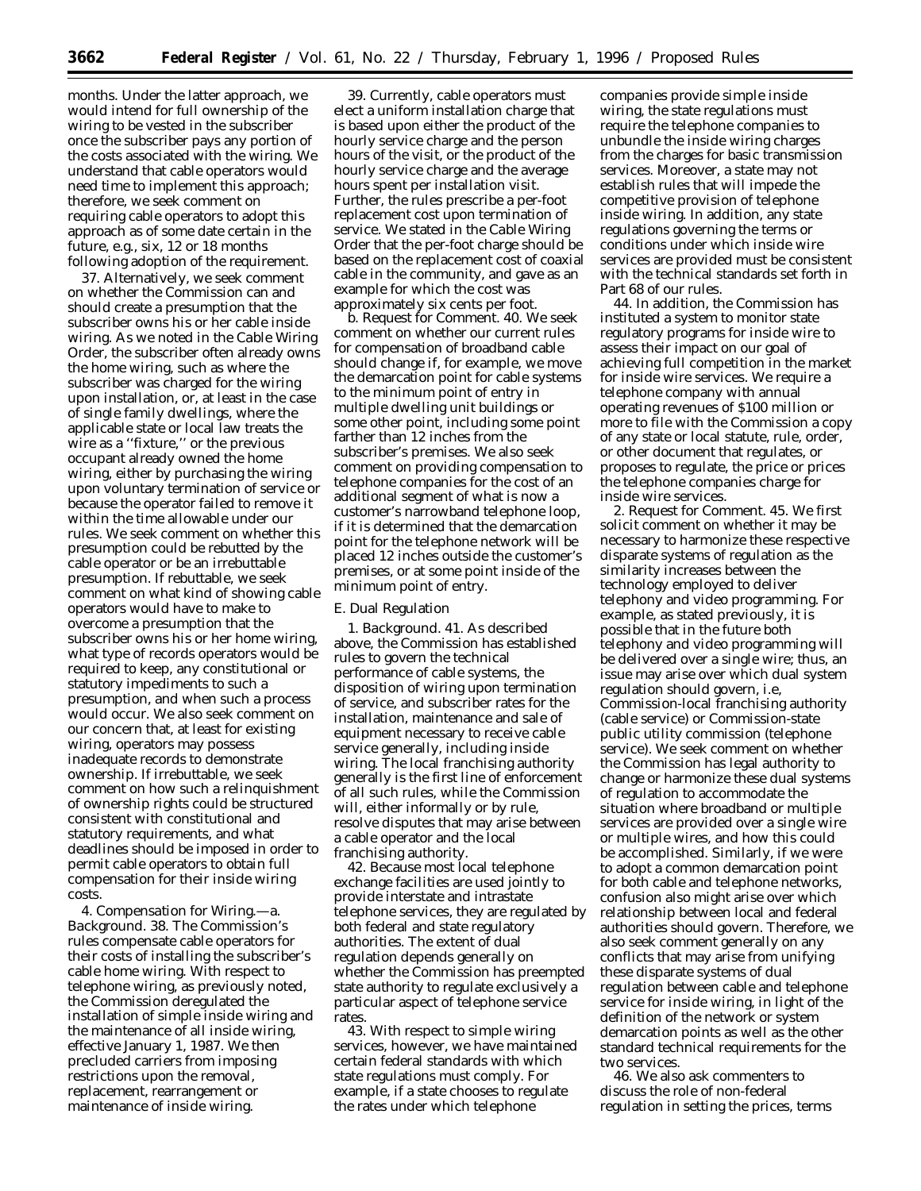months. Under the latter approach, we would intend for full ownership of the wiring to be vested in the subscriber once the subscriber pays any portion of the costs associated with the wiring. We understand that cable operators would need time to implement this approach; therefore, we seek comment on requiring cable operators to adopt this approach as of some date certain in the future, *e.g.,* six, 12 or 18 months following adoption of the requirement.

37. Alternatively, we seek comment on whether the Commission can and should create a presumption that the subscriber owns his or her cable inside wiring. As we noted in the *Cable Wiring Order,* the subscriber often already owns the home wiring, such as where the subscriber was charged for the wiring upon installation, or, at least in the case of single family dwellings, where the applicable state or local law treats the wire as a ''fixture,'' or the previous occupant already owned the home wiring, either by purchasing the wiring upon voluntary termination of service or because the operator failed to remove it within the time allowable under our rules. We seek comment on whether this presumption could be rebutted by the cable operator or be an irrebuttable presumption. If rebuttable, we seek comment on what kind of showing cable operators would have to make to overcome a presumption that the subscriber owns his or her home wiring, what type of records operators would be required to keep, any constitutional or statutory impediments to such a presumption, and when such a process would occur. We also seek comment on our concern that, at least for existing wiring, operators may possess inadequate records to demonstrate ownership. If irrebuttable, we seek comment on how such a relinquishment of ownership rights could be structured consistent with constitutional and statutory requirements, and what deadlines should be imposed in order to permit cable operators to obtain full compensation for their inside wiring costs.

4. *Compensation for Wiring.—*a. *Background.* 38. The Commission's rules compensate cable operators for their costs of installing the subscriber's cable home wiring. With respect to telephone wiring, as previously noted, the Commission deregulated the installation of simple inside wiring and the maintenance of all inside wiring, effective January 1, 1987. We then precluded carriers from imposing restrictions upon the removal, replacement, rearrangement or maintenance of inside wiring.

39. Currently, cable operators must elect a uniform installation charge that is based upon either the product of the hourly service charge and the person hours of the visit, or the product of the hourly service charge and the average hours spent per installation visit. Further, the rules prescribe a per-foot replacement cost upon termination of service. We stated in the *Cable Wiring Order* that the per-foot charge should be based on the replacement cost of coaxial cable in the community, and gave as an example for which the cost was approximately six cents per foot.

b. *Request for Comment.* 40. We seek comment on whether our current rules for compensation of broadband cable should change if, for example, we move the demarcation point for cable systems to the minimum point of entry in multiple dwelling unit buildings or some other point, including some point farther than 12 inches from the subscriber's premises. We also seek comment on providing compensation to telephone companies for the cost of an additional segment of what is now a customer's narrowband telephone loop, if it is determined that the demarcation point for the telephone network will be placed 12 inches outside the customer's premises, or at some point inside of the minimum point of entry.

#### E. Dual Regulation

1. *Background.* 41. As described above, the Commission has established rules to govern the technical performance of cable systems, the disposition of wiring upon termination of service, and subscriber rates for the installation, maintenance and sale of equipment necessary to receive cable service generally, including inside wiring. The local franchising authority generally is the first line of enforcement of all such rules, while the Commission will, either informally or by rule, resolve disputes that may arise between a cable operator and the local franchising authority.

42. Because most local telephone exchange facilities are used jointly to provide interstate and intrastate telephone services, they are regulated by both federal and state regulatory authorities. The extent of dual regulation depends generally on whether the Commission has preempted state authority to regulate exclusively a particular aspect of telephone service rates.

43. With respect to simple wiring services, however, we have maintained certain federal standards with which state regulations must comply. For example, if a state chooses to regulate the rates under which telephone

companies provide simple inside wiring, the state regulations must require the telephone companies to unbundle the inside wiring charges from the charges for basic transmission services. Moreover, a state may not establish rules that will impede the competitive provision of telephone inside wiring. In addition, any state regulations governing the terms or conditions under which inside wire services are provided must be consistent with the technical standards set forth in Part 68 of our rules.

44. In addition, the Commission has instituted a system to monitor state regulatory programs for inside wire to assess their impact on our goal of achieving full competition in the market for inside wire services. We require a telephone company with annual operating revenues of \$100 million or more to file with the Commission a copy of any state or local statute, rule, order, or other document that regulates, or proposes to regulate, the price or prices the telephone companies charge for inside wire services.

2. *Request for Comment.* 45. We first solicit comment on whether it may be necessary to harmonize these respective disparate systems of regulation as the similarity increases between the technology employed to deliver telephony and video programming. For example, as stated previously, it is possible that in the future both telephony and video programming will be delivered over a single wire; thus, an issue may arise over which dual system regulation should govern, i.e, Commission-local franchising authority (cable service) or Commission-state public utility commission (telephone service). We seek comment on whether the Commission has legal authority to change or harmonize these dual systems of regulation to accommodate the situation where broadband or multiple services are provided over a single wire or multiple wires, and how this could be accomplished. Similarly, if we were to adopt a common demarcation point for both cable and telephone networks, confusion also might arise over which relationship between local and federal authorities should govern. Therefore, we also seek comment generally on any conflicts that may arise from unifying these disparate systems of dual regulation between cable and telephone service for inside wiring, in light of the definition of the network or system demarcation points as well as the other standard technical requirements for the two services.

46. We also ask commenters to discuss the role of non-federal regulation in setting the prices, terms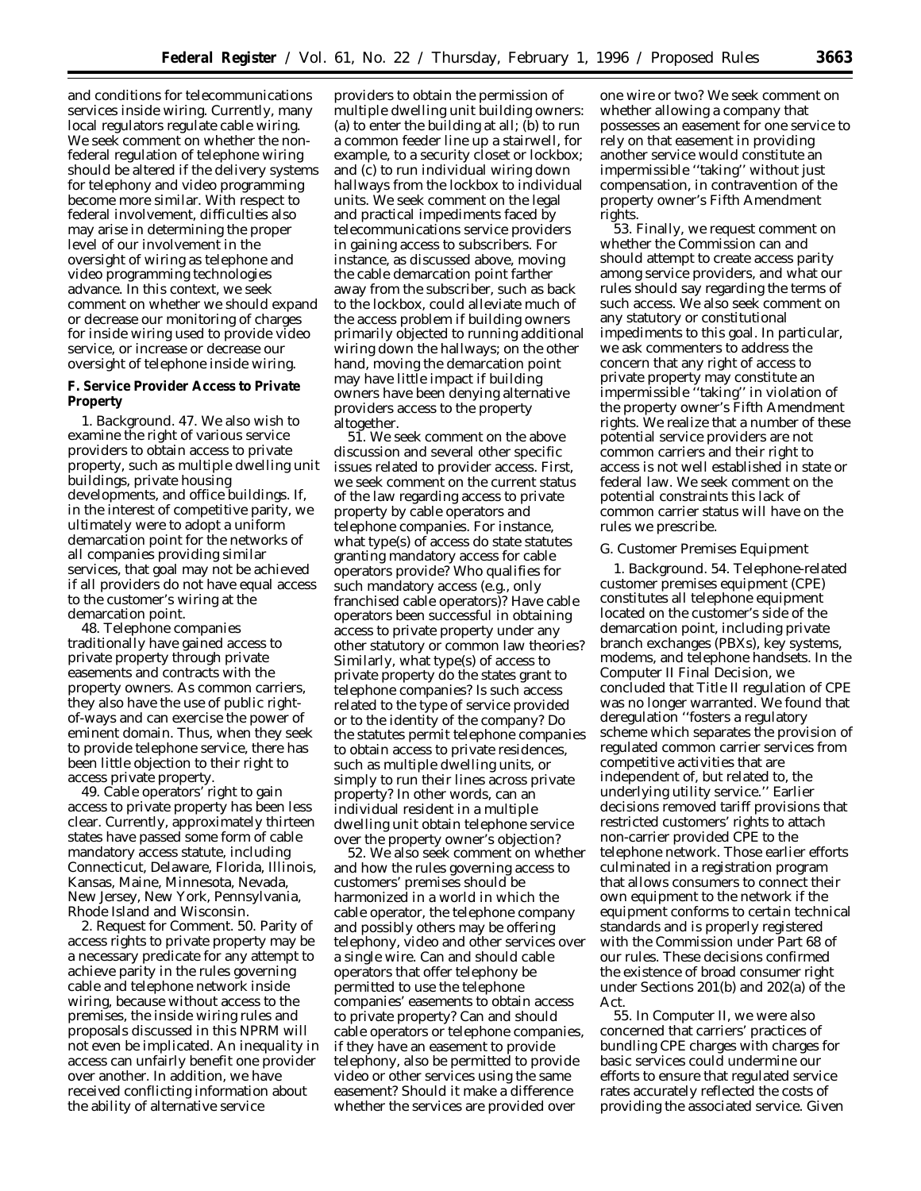and conditions for telecommunications services inside wiring. Currently, many local regulators regulate cable wiring. We seek comment on whether the nonfederal regulation of telephone wiring should be altered if the delivery systems for telephony and video programming become more similar. With respect to federal involvement, difficulties also may arise in determining the proper level of our involvement in the oversight of wiring as telephone and video programming technologies advance. In this context, we seek comment on whether we should expand or decrease our monitoring of charges for inside wiring used to provide video service, or increase or decrease our oversight of telephone inside wiring.

**F. Service Provider Access to Private Property**

1. *Background.* 47. We also wish to examine the right of various service providers to obtain access to private property, such as multiple dwelling unit buildings, private housing developments, and office buildings. If, in the interest of competitive parity, we ultimately were to adopt a uniform demarcation point for the networks of all companies providing similar services, that goal may not be achieved if all providers do not have equal access to the customer's wiring at the demarcation point.

48. Telephone companies traditionally have gained access to private property through private easements and contracts with the property owners. As common carriers, they also have the use of public rightof-ways and can exercise the power of eminent domain. Thus, when they seek to provide telephone service, there has been little objection to their right to access private property.

49. Cable operators' right to gain access to private property has been less clear. Currently, approximately thirteen states have passed some form of cable mandatory access statute, including Connecticut, Delaware, Florida, Illinois, Kansas, Maine, Minnesota, Nevada, New Jersey, New York, Pennsylvania, Rhode Island and Wisconsin.

2. *Request for Comment.* 50. Parity of access rights to private property may be a necessary predicate for any attempt to achieve parity in the rules governing cable and telephone network inside wiring, because without access to the premises, the inside wiring rules and proposals discussed in this *NPRM* will not even be implicated. An inequality in access can unfairly benefit one provider over another. In addition, we have received conflicting information about the ability of alternative service

providers to obtain the permission of multiple dwelling unit building owners: (a) to enter the building at all; (b) to run a common feeder line up a stairwell, for example, to a security closet or lockbox; and (c) to run individual wiring down hallways from the lockbox to individual units. We seek comment on the legal and practical impediments faced by telecommunications service providers in gaining access to subscribers. For instance, as discussed above, moving the cable demarcation point farther away from the subscriber, such as back to the lockbox, could alleviate much of the access problem if building owners primarily objected to running additional wiring down the hallways; on the other hand, moving the demarcation point may have little impact if building owners have been denying alternative providers access to the property altogether.

51. We seek comment on the above discussion and several other specific issues related to provider access. First, we seek comment on the current status of the law regarding access to private property by cable operators and telephone companies. For instance, what type(s) of access do state statutes granting mandatory access for cable operators provide? Who qualifies for such mandatory access (e.g., only franchised cable operators)? Have cable operators been successful in obtaining access to private property under any other statutory or common law theories? Similarly, what type(s) of access to private property do the states grant to telephone companies? Is such access related to the type of service provided or to the identity of the company? Do the statutes permit telephone companies to obtain access to private residences, such as multiple dwelling units, or simply to run their lines across private property? In other words, can an individual resident in a multiple dwelling unit obtain telephone service over the property owner's objection?

52. We also seek comment on whether and how the rules governing access to customers' premises should be harmonized in a world in which the cable operator, the telephone company and possibly others may be offering telephony, video and other services over a single wire. Can and should cable operators that offer telephony be permitted to use the telephone companies' easements to obtain access to private property? Can and should cable operators or telephone companies, if they have an easement to provide telephony, also be permitted to provide video or other services using the same easement? Should it make a difference whether the services are provided over

one wire or two? We seek comment on whether allowing a company that possesses an easement for one service to rely on that easement in providing another service would constitute an impermissible ''taking'' without just compensation, in contravention of the property owner's Fifth Amendment rights.

53. Finally, we request comment on whether the Commission can and should attempt to create access parity among service providers, and what our rules should say regarding the terms of such access. We also seek comment on any statutory or constitutional impediments to this goal. In particular, we ask commenters to address the concern that any right of access to private property may constitute an impermissible ''taking'' in violation of the property owner's Fifth Amendment rights. We realize that a number of these potential service providers are not common carriers and their right to access is not well established in state or federal law. We seek comment on the potential constraints this lack of common carrier status will have on the rules we prescribe.

#### G. Customer Premises Equipment

1. *Background.* 54. Telephone-related customer premises equipment (CPE) constitutes all telephone equipment located on the customer's side of the demarcation point, including private branch exchanges (PBXs), key systems, modems, and telephone handsets. In the Computer II Final Decision, we concluded that Title II regulation of CPE was no longer warranted. We found that deregulation ''fosters a regulatory scheme which separates the provision of regulated common carrier services from competitive activities that are independent of, but related to, the underlying utility service.'' Earlier decisions removed tariff provisions that restricted customers' rights to attach non-carrier provided CPE to the telephone network. Those earlier efforts culminated in a registration program that allows consumers to connect their own equipment to the network if the equipment conforms to certain technical standards and is properly registered with the Commission under Part 68 of our rules. These decisions confirmed the existence of broad consumer right under Sections 201(b) and 202(a) of the Act.

55. In *Computer II,* we were also concerned that carriers' practices of bundling CPE charges with charges for basic services could undermine our efforts to ensure that regulated service rates accurately reflected the costs of providing the associated service. Given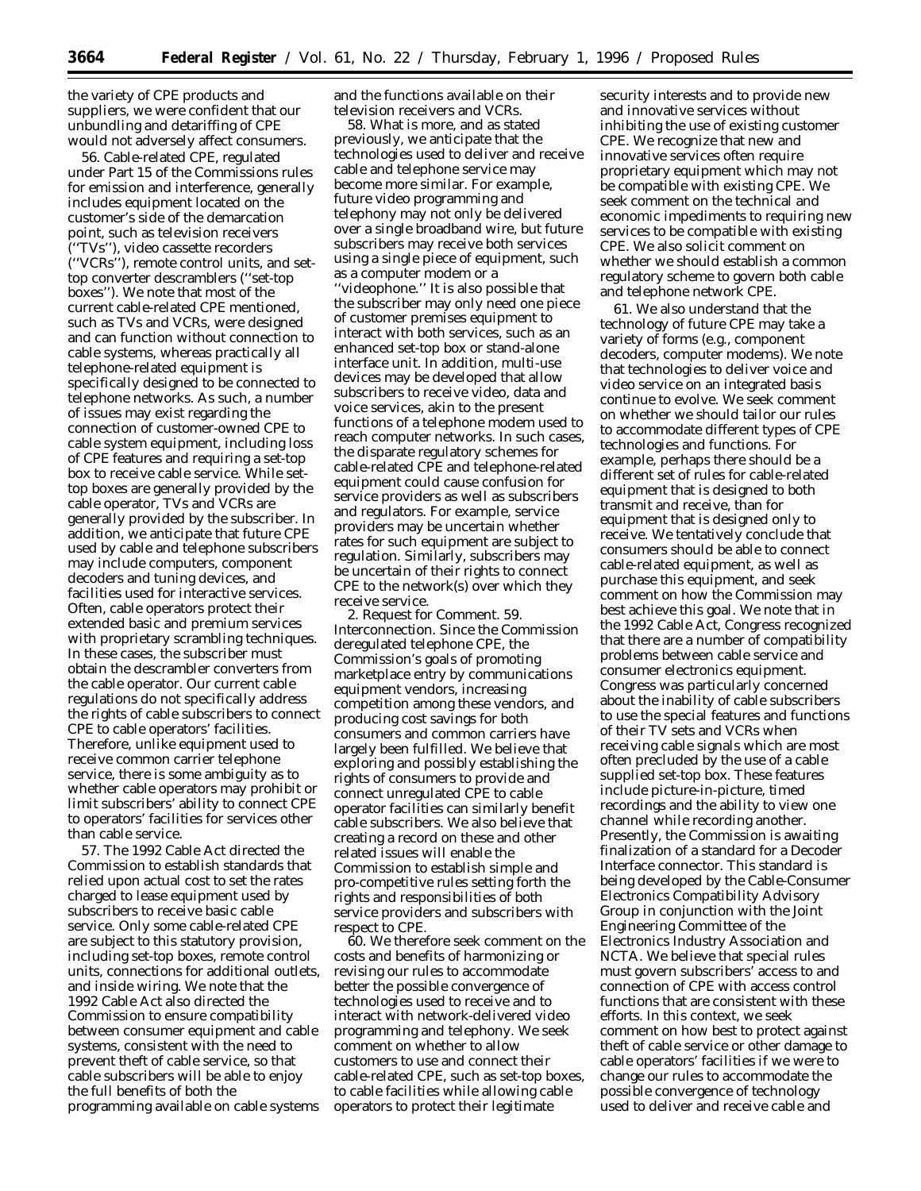the variety of CPE products and suppliers, we were confident that our unbundling and detariffing of CPE would not adversely affect consumers.

56. Cable-related CPE, regulated under Part 15 of the Commissions rules for emission and interference, generally includes equipment located on the customer's side of the demarcation point, such as television receivers (''TVs''), video cassette recorders (''VCRs''), remote control units, and settop converter descramblers (''set-top boxes''). We note that most of the current cable-related CPE mentioned, such as TVs and VCRs, were designed and can function without connection to cable systems, whereas practically all telephone-related equipment is specifically designed to be connected to telephone networks. As such, a number of issues may exist regarding the connection of customer-owned CPE to cable system equipment, including loss of CPE features and requiring a set-top box to receive cable service. While settop boxes are generally provided by the cable operator, TVs and VCRs are generally provided by the subscriber. In addition, we anticipate that future CPE used by cable and telephone subscribers may include computers, component decoders and tuning devices, and facilities used for interactive services. Often, cable operators protect their extended basic and premium services with proprietary scrambling techniques. In these cases, the subscriber must obtain the descrambler converters from the cable operator. Our current cable regulations do not specifically address the rights of cable subscribers to connect CPE to cable operators' facilities. Therefore, unlike equipment used to receive common carrier telephone service, there is some ambiguity as to whether cable operators may prohibit or limit subscribers' ability to connect CPE to operators' facilities for services other than cable service.

57. The 1992 Cable Act directed the Commission to establish standards that relied upon actual cost to set the rates charged to lease equipment used by subscribers to receive basic cable service. Only some cable-related CPE are subject to this statutory provision, including set-top boxes, remote control units, connections for additional outlets, and inside wiring. We note that the 1992 Cable Act also directed the Commission to ensure compatibility between consumer equipment and cable systems, consistent with the need to prevent theft of cable service, so that cable subscribers will be able to enjoy the full benefits of both the programming available on cable systems

and the functions available on their television receivers and VCRs.

58. What is more, and as stated previously, we anticipate that the technologies used to deliver and receive cable and telephone service may become more similar. For example, future video programming and telephony may not only be delivered over a single broadband wire, but future subscribers may receive both services using a single piece of equipment, such as a computer modem or a ''videophone.'' It is also possible that the subscriber may only need one piece of customer premises equipment to interact with both services, such as an enhanced set-top box or stand-alone interface unit. In addition, multi-use devices may be developed that allow subscribers to receive video, data and voice services, akin to the present functions of a telephone modem used to reach computer networks. In such cases, the disparate regulatory schemes for cable-related CPE and telephone-related equipment could cause confusion for service providers as well as subscribers and regulators. For example, service providers may be uncertain whether rates for such equipment are subject to regulation. Similarly, subscribers may be uncertain of their rights to connect CPE to the network(s) over which they receive service.

2. *Request for Comment.* 59. *Interconnection.* Since the Commission deregulated telephone CPE, the Commission's goals of promoting marketplace entry by communications equipment vendors, increasing competition among these vendors, and producing cost savings for both consumers and common carriers have largely been fulfilled. We believe that exploring and possibly establishing the rights of consumers to provide and connect unregulated CPE to cable operator facilities can similarly benefit cable subscribers. We also believe that creating a record on these and other related issues will enable the Commission to establish simple and pro-competitive rules setting forth the rights and responsibilities of both service providers and subscribers with respect to CPE.

60. We therefore seek comment on the costs and benefits of harmonizing or revising our rules to accommodate better the possible convergence of technologies used to receive and to interact with network-delivered video programming and telephony. We seek comment on whether to allow customers to use and connect their cable-related CPE, such as set-top boxes, to cable facilities while allowing cable operators to protect their legitimate

security interests and to provide new and innovative services without inhibiting the use of existing customer CPE. We recognize that new and innovative services often require proprietary equipment which may not be compatible with existing CPE. We seek comment on the technical and economic impediments to requiring new services to be compatible with existing CPE. We also solicit comment on whether we should establish a common regulatory scheme to govern both cable and telephone network CPE.

61. We also understand that the technology of future CPE may take a variety of forms (e.g., component decoders, computer modems). We note that technologies to deliver voice and video service on an integrated basis continue to evolve. We seek comment on whether we should tailor our rules to accommodate different types of CPE technologies and functions. For example, perhaps there should be a different set of rules for cable-related equipment that is designed to both transmit and receive, than for equipment that is designed only to receive. We tentatively conclude that consumers should be able to connect cable-related equipment, as well as purchase this equipment, and seek comment on how the Commission may best achieve this goal. We note that in the 1992 Cable Act, Congress recognized that there are a number of compatibility problems between cable service and consumer electronics equipment. Congress was particularly concerned about the inability of cable subscribers to use the special features and functions of their TV sets and VCRs when receiving cable signals which are most often precluded by the use of a cable supplied set-top box. These features include picture-in-picture, timed recordings and the ability to view one channel while recording another. Presently, the Commission is awaiting finalization of a standard for a Decoder Interface connector. This standard is being developed by the Cable-Consumer Electronics Compatibility Advisory Group in conjunction with the Joint Engineering Committee of the Electronics Industry Association and NCTA. We believe that special rules must govern subscribers' access to and connection of CPE with access control functions that are consistent with these efforts. In this context, we seek comment on how best to protect against theft of cable service or other damage to cable operators' facilities if we were to change our rules to accommodate the possible convergence of technology used to deliver and receive cable and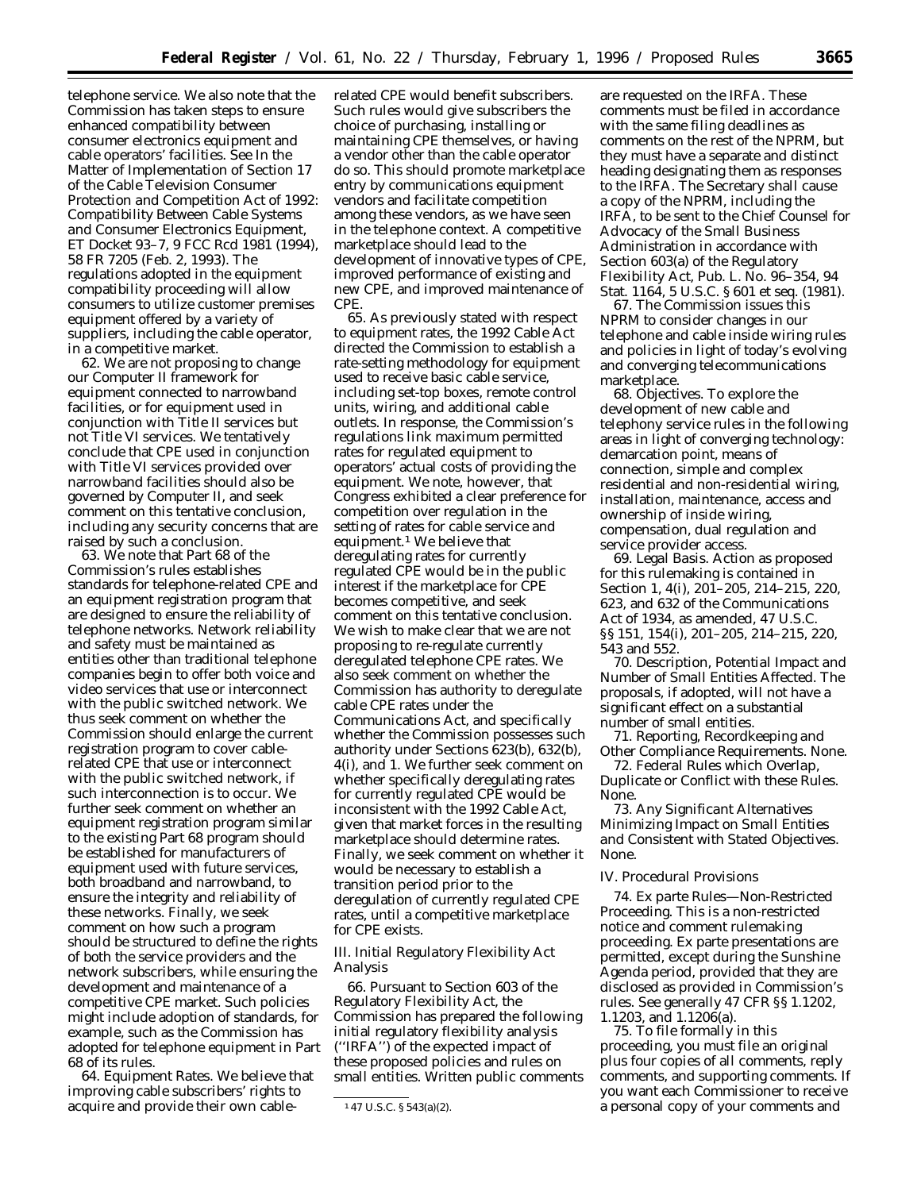telephone service. We also note that the Commission has taken steps to ensure enhanced compatibility between consumer electronics equipment and cable operators' facilities. *See In the Matter of Implementation of Section 17 of the Cable Television Consumer Protection and Competition Act of 1992: Compatibility Between Cable Systems and Consumer Electronics Equipment,* ET Docket 93–7, 9 FCC Rcd 1981 (1994), 58 FR 7205 (Feb. 2, 1993). The regulations adopted in the equipment compatibility proceeding will allow consumers to utilize customer premises equipment offered by a variety of suppliers, including the cable operator, in a competitive market.

62. We are not proposing to change our *Computer II* framework for equipment connected to narrowband facilities, or for equipment used in conjunction with Title II services but not Title VI services. We tentatively conclude that CPE used in conjunction with Title VI services provided over narrowband facilities should also be governed by *Computer II,* and seek comment on this tentative conclusion, including any security concerns that are raised by such a conclusion.

63. We note that Part 68 of the Commission's rules establishes standards for telephone-related CPE and an equipment registration program that are designed to ensure the reliability of telephone networks. Network reliability and safety must be maintained as entities other than traditional telephone companies begin to offer both voice and video services that use or interconnect with the public switched network. We thus seek comment on whether the Commission should enlarge the current registration program to cover cablerelated CPE that use or interconnect with the public switched network, if such interconnection is to occur. We further seek comment on whether an equipment registration program similar to the existing Part 68 program should be established for manufacturers of equipment used with future services, both broadband and narrowband, to ensure the integrity and reliability of these networks. Finally, we seek comment on how such a program should be structured to define the rights of both the service providers and the network subscribers, while ensuring the development and maintenance of a competitive CPE market. Such policies might include adoption of standards, for example, such as the Commission has adopted for telephone equipment in Part 68 of its rules.

64. *Equipment Rates.* We believe that improving cable subscribers' rights to acquire and provide their own cable-

related CPE would benefit subscribers. Such rules would give subscribers the choice of purchasing, installing or maintaining CPE themselves, or having a vendor other than the cable operator do so. This should promote marketplace entry by communications equipment vendors and facilitate competition among these vendors, as we have seen in the telephone context. A competitive marketplace should lead to the development of innovative types of CPE, improved performance of existing and new CPE, and improved maintenance of CPE.

65. As previously stated with respect to equipment rates, the 1992 Cable Act directed the Commission to establish a rate-setting methodology for equipment used to receive basic cable service, including set-top boxes, remote control units, wiring, and additional cable outlets. In response, the Commission's regulations link maximum permitted rates for regulated equipment to operators' actual costs of providing the equipment. We note, however, that Congress exhibited a clear preference for competition over regulation in the setting of rates for cable service and equipment.1 We believe that deregulating rates for currently regulated CPE would be in the public interest if the marketplace for CPE becomes competitive, and seek comment on this tentative conclusion. We wish to make clear that we are not proposing to re-regulate currently deregulated telephone CPE rates. We also seek comment on whether the Commission has authority to deregulate cable CPE rates under the Communications Act, and specifically whether the Commission possesses such authority under Sections 623(b), 632(b), 4(i), and 1. We further seek comment on whether specifically deregulating rates for currently regulated CPE would be inconsistent with the 1992 Cable Act, given that market forces in the resulting marketplace should determine rates. Finally, we seek comment on whether it would be necessary to establish a transition period prior to the deregulation of currently regulated CPE rates, until a competitive marketplace for CPE exists.

# *III. Initial Regulatory Flexibility Act Analysis*

66. Pursuant to Section 603 of the Regulatory Flexibility Act, the Commission has prepared the following initial regulatory flexibility analysis (''IRFA'') of the expected impact of these proposed policies and rules on small entities. Written public comments

are requested on the IRFA. These comments must be filed in accordance with the same filing deadlines as comments on the rest of the *NPRM*, but they must have a separate and distinct heading designating them as responses to the IRFA. The Secretary shall cause a copy of the *NPRM,* including the IRFA, to be sent to the Chief Counsel for Advocacy of the Small Business Administration in accordance with Section 603(a) of the Regulatory Flexibility Act, Pub. L. No. 96–354, 94 Stat. 1164, 5 U.S.C. § 601 *et seq*. (1981).

67. The Commission issues this *NPRM* to consider changes in our telephone and cable inside wiring rules and policies in light of today's evolving and converging telecommunications marketplace.

68. *Objectives.* To explore the development of new cable and telephony service rules in the following areas in light of converging technology: demarcation point, means of connection, simple and complex residential and non-residential wiring, installation, maintenance, access and ownership of inside wiring, compensation, dual regulation and service provider access.

69. *Legal Basis.* Action as proposed for this rulemaking is contained in Section 1, 4(i), 201–205, 214–215, 220, 623, and 632 of the Communications Act of 1934, as amended, 47 U.S.C. §§ 151, 154(i), 201–205, 214–215, 220, 543 and 552.

70. *Description, Potential Impact and Number of Small Entities Affected*. The proposals, if adopted, will not have a significant effect on a substantial number of small entities.

71. *Reporting, Recordkeeping and Other Compliance Requirements*. None.

72. *Federal Rules which Overlap, Duplicate or Conflict with these Rules*. None.

73. *Any Significant Alternatives Minimizing Impact on Small Entities and Consistent with Stated Objectives*. None.

#### *IV. Procedural Provisions*

74. *Ex parte Rules—Non-Restricted Proceeding.* This is a non-restricted notice and comment rulemaking proceeding. Ex parte presentations are permitted, except during the Sunshine Agenda period, provided that they are disclosed as provided in Commission's rules. *See generally* 47 CFR §§ 1.1202, 1.1203, and 1.1206(a).

75. To file formally in this proceeding, you must file an original plus four copies of all comments, reply comments, and supporting comments. If you want each Commissioner to receive a personal copy of your comments and

<sup>1</sup> 47 U.S.C. § 543(a)(2).